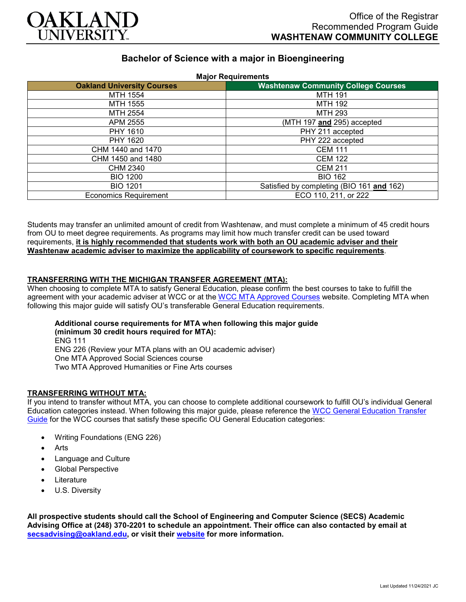

# **Bachelor of Science with a major in Bioengineering**

| <b>Oakland University Courses</b> | <b>Major Requirements</b><br><b>Washtenaw Community College Courses</b> |
|-----------------------------------|-------------------------------------------------------------------------|
| MTH 1554                          | <b>MTH 191</b>                                                          |
| MTH 1555                          | <b>MTH 192</b>                                                          |
| MTH 2554                          | MTH 293                                                                 |
| APM 2555                          | (MTH 197 and 295) accepted                                              |
| PHY 1610                          | PHY 211 accepted                                                        |
| PHY 1620                          | PHY 222 accepted                                                        |
| CHM 1440 and 1470                 | <b>CEM 111</b>                                                          |
| CHM 1450 and 1480                 | <b>CEM 122</b>                                                          |
| <b>CHM 2340</b>                   | <b>CEM 211</b>                                                          |
| <b>BIO 1200</b>                   | <b>BIO 162</b>                                                          |
| <b>BIO 1201</b>                   | Satisfied by completing (BIO 161 and 162)                               |
| <b>Economics Requirement</b>      | ECO 110, 211, or 222                                                    |

Students may transfer an unlimited amount of credit from Washtenaw, and must complete a minimum of 45 credit hours from OU to meet degree requirements. As programs may limit how much transfer credit can be used toward requirements, **it is highly recommended that students work with both an OU academic adviser and their Washtenaw academic adviser to maximize the applicability of coursework to specific requirements**.

## **TRANSFERRING WITH THE MICHIGAN TRANSFER AGREEMENT (MTA):**

When choosing to complete MTA to satisfy General Education, please confirm the best courses to take to fulfill the agreement with your academic adviser at WCC or at the [WCC MTA Approved](http://www.wccnet.edu/services/transferresources/mta/) Courses website. Completing MTA when following this major guide will satisfy OU's transferable General Education requirements.

**Additional course requirements for MTA when following this major guide (minimum 30 credit hours required for MTA):** ENG 111 ENG 226 (Review your MTA plans with an OU academic adviser) One MTA Approved Social Sciences course

Two MTA Approved Humanities or Fine Arts courses

## **TRANSFERRING WITHOUT MTA:**

If you intend to transfer without MTA, you can choose to complete additional coursework to fulfill OU's individual General Education categories instead. When following this major guide, please reference the [WCC General Education Transfer](https://www.oakland.edu/Assets/Oakland/program-guides/washtenaw-community-college/university-general-education-requirements/Washtenaw%20Gen%20Ed.pdf)  [Guide](https://www.oakland.edu/Assets/Oakland/program-guides/washtenaw-community-college/university-general-education-requirements/Washtenaw%20Gen%20Ed.pdf) for the WCC courses that satisfy these specific OU General Education categories:

- Writing Foundations (ENG 226)
- **Arts**
- Language and Culture
- Global Perspective
- **Literature**
- U.S. Diversity

**All prospective students should call the School of Engineering and Computer Science (SECS) Academic Advising Office at (248) 370-2201 to schedule an appointment. Their office can also contacted by email at [secsadvising@oakland.edu,](mailto:secsadvising@oakland.edu) or visit their [website](https://wwwp.oakland.edu/secs/advising/) for more information.**